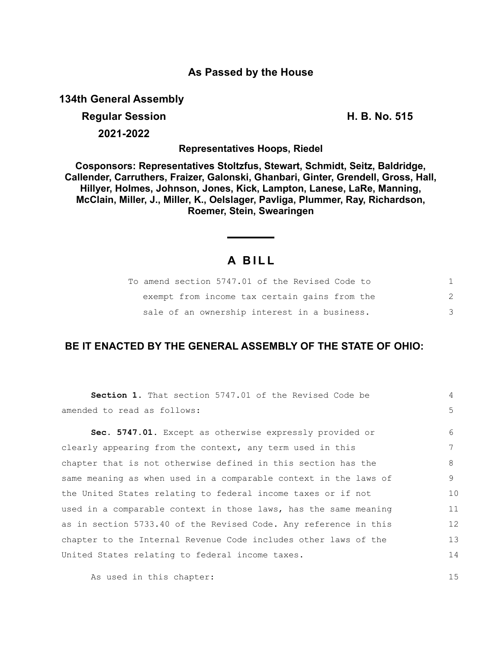## **As Passed by the House**

**134th General Assembly**

# **Regular Session H. B. No. 515**

**2021-2022**

**Representatives Hoops, Riedel**

**Cosponsors: Representatives Stoltzfus, Stewart, Schmidt, Seitz, Baldridge, Callender, Carruthers, Fraizer, Galonski, Ghanbari, Ginter, Grendell, Gross, Hall, Hillyer, Holmes, Johnson, Jones, Kick, Lampton, Lanese, LaRe, Manning, McClain, Miller, J., Miller, K., Oelslager, Pavliga, Plummer, Ray, Richardson, Roemer, Stein, Swearingen**

## **A B I L L**

|  | To amend section 5747.01 of the Revised Code to |  |  |   |
|--|-------------------------------------------------|--|--|---|
|  | exempt from income tax certain gains from the   |  |  |   |
|  | sale of an ownership interest in a business.    |  |  | 3 |

## **BE IT ENACTED BY THE GENERAL ASSEMBLY OF THE STATE OF OHIO:**

| amended to read as follows:<br>Sec. 5747.01. Except as otherwise expressly provided or<br>6<br>7<br>clearly appearing from the context, any term used in this<br>chapter that is not otherwise defined in this section has the<br>same meaning as when used in a comparable context in the laws of<br>the United States relating to federal income taxes or if not<br>used in a comparable context in those laws, has the same meaning<br>as in section 5733.40 of the Revised Code. Any reference in this<br>chapter to the Internal Revenue Code includes other laws of the<br>United States relating to federal income taxes. | Section 1. That section 5747.01 of the Revised Code be | $\overline{4}$ |
|----------------------------------------------------------------------------------------------------------------------------------------------------------------------------------------------------------------------------------------------------------------------------------------------------------------------------------------------------------------------------------------------------------------------------------------------------------------------------------------------------------------------------------------------------------------------------------------------------------------------------------|--------------------------------------------------------|----------------|
|                                                                                                                                                                                                                                                                                                                                                                                                                                                                                                                                                                                                                                  |                                                        | 5 <sup>1</sup> |
|                                                                                                                                                                                                                                                                                                                                                                                                                                                                                                                                                                                                                                  |                                                        |                |
|                                                                                                                                                                                                                                                                                                                                                                                                                                                                                                                                                                                                                                  |                                                        |                |
|                                                                                                                                                                                                                                                                                                                                                                                                                                                                                                                                                                                                                                  |                                                        | 8              |
|                                                                                                                                                                                                                                                                                                                                                                                                                                                                                                                                                                                                                                  |                                                        | 9              |
|                                                                                                                                                                                                                                                                                                                                                                                                                                                                                                                                                                                                                                  |                                                        | 10             |
|                                                                                                                                                                                                                                                                                                                                                                                                                                                                                                                                                                                                                                  |                                                        | 11             |
|                                                                                                                                                                                                                                                                                                                                                                                                                                                                                                                                                                                                                                  |                                                        | 12             |
|                                                                                                                                                                                                                                                                                                                                                                                                                                                                                                                                                                                                                                  |                                                        | 13             |
|                                                                                                                                                                                                                                                                                                                                                                                                                                                                                                                                                                                                                                  |                                                        | 14             |

As used in this chapter: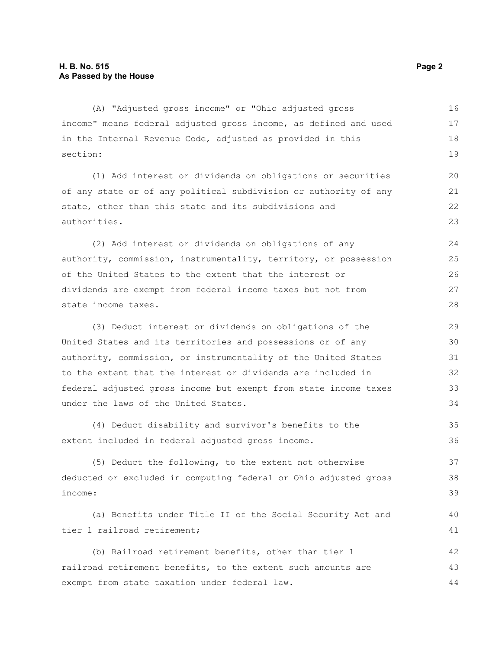(A) "Adjusted gross income" or "Ohio adjusted gross income" means federal adjusted gross income, as defined and used in the Internal Revenue Code, adjusted as provided in this section: 16 17 18 19

(1) Add interest or dividends on obligations or securities of any state or of any political subdivision or authority of any state, other than this state and its subdivisions and authorities.

(2) Add interest or dividends on obligations of any authority, commission, instrumentality, territory, or possession of the United States to the extent that the interest or dividends are exempt from federal income taxes but not from state income taxes.

(3) Deduct interest or dividends on obligations of the United States and its territories and possessions or of any authority, commission, or instrumentality of the United States to the extent that the interest or dividends are included in federal adjusted gross income but exempt from state income taxes under the laws of the United States. 29 30 31 32 33 34

(4) Deduct disability and survivor's benefits to the extent included in federal adjusted gross income. 35 36

(5) Deduct the following, to the extent not otherwise deducted or excluded in computing federal or Ohio adjusted gross income: 37 38

(a) Benefits under Title II of the Social Security Act and tier 1 railroad retirement;

(b) Railroad retirement benefits, other than tier 1 railroad retirement benefits, to the extent such amounts are exempt from state taxation under federal law. 42 43 44

39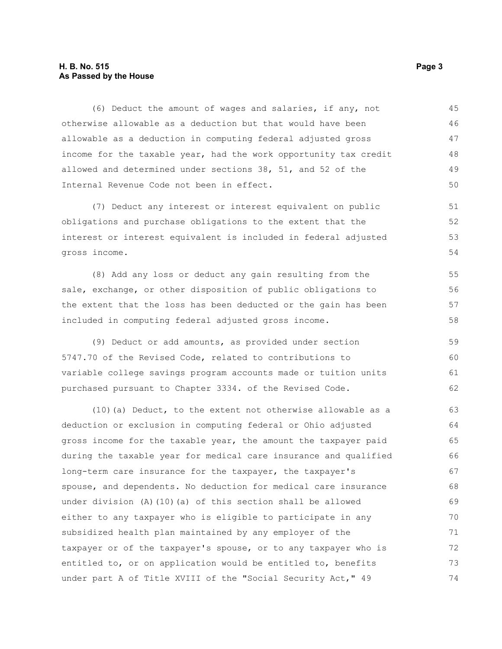## **H. B. No. 515** Page 3 **As Passed by the House**

(6) Deduct the amount of wages and salaries, if any, not otherwise allowable as a deduction but that would have been allowable as a deduction in computing federal adjusted gross income for the taxable year, had the work opportunity tax credit allowed and determined under sections 38, 51, and 52 of the Internal Revenue Code not been in effect. 45 46 47 48 49 50

(7) Deduct any interest or interest equivalent on public obligations and purchase obligations to the extent that the interest or interest equivalent is included in federal adjusted gross income.

(8) Add any loss or deduct any gain resulting from the sale, exchange, or other disposition of public obligations to the extent that the loss has been deducted or the gain has been included in computing federal adjusted gross income. 55 56 57 58

(9) Deduct or add amounts, as provided under section 5747.70 of the Revised Code, related to contributions to variable college savings program accounts made or tuition units purchased pursuant to Chapter 3334. of the Revised Code. 59 60 61 62

(10)(a) Deduct, to the extent not otherwise allowable as a deduction or exclusion in computing federal or Ohio adjusted gross income for the taxable year, the amount the taxpayer paid during the taxable year for medical care insurance and qualified long-term care insurance for the taxpayer, the taxpayer's spouse, and dependents. No deduction for medical care insurance under division (A)(10)(a) of this section shall be allowed either to any taxpayer who is eligible to participate in any subsidized health plan maintained by any employer of the taxpayer or of the taxpayer's spouse, or to any taxpayer who is entitled to, or on application would be entitled to, benefits under part A of Title XVIII of the "Social Security Act," 49 63 64 65 66 67 68 69 70 71 72 73 74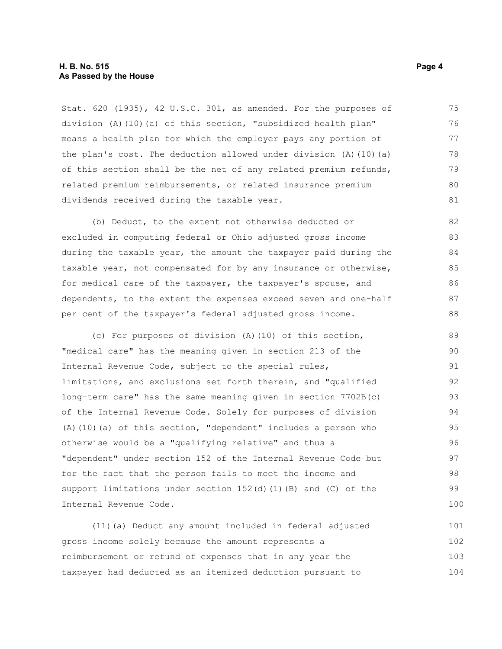### **H. B. No. 515 Page 4 As Passed by the House**

Stat. 620 (1935), 42 U.S.C. 301, as amended. For the purposes of division (A)(10)(a) of this section, "subsidized health plan" means a health plan for which the employer pays any portion of the plan's cost. The deduction allowed under division  $(A)$   $(10)$   $(a)$ of this section shall be the net of any related premium refunds, related premium reimbursements, or related insurance premium dividends received during the taxable year. 75 76 77 78 79 80 81

(b) Deduct, to the extent not otherwise deducted or excluded in computing federal or Ohio adjusted gross income during the taxable year, the amount the taxpayer paid during the taxable year, not compensated for by any insurance or otherwise, for medical care of the taxpayer, the taxpayer's spouse, and dependents, to the extent the expenses exceed seven and one-half per cent of the taxpayer's federal adjusted gross income. 82 83 84 85 86 87 88

(c) For purposes of division (A)(10) of this section, "medical care" has the meaning given in section 213 of the Internal Revenue Code, subject to the special rules, limitations, and exclusions set forth therein, and "qualified long-term care" has the same meaning given in section 7702B(c) of the Internal Revenue Code. Solely for purposes of division (A)(10)(a) of this section, "dependent" includes a person who otherwise would be a "qualifying relative" and thus a "dependent" under section 152 of the Internal Revenue Code but for the fact that the person fails to meet the income and support limitations under section  $152(d)$  (1)(B) and (C) of the Internal Revenue Code. 89  $90$ 91 92 93 94 95 96 97 98 99 100

(11)(a) Deduct any amount included in federal adjusted gross income solely because the amount represents a reimbursement or refund of expenses that in any year the taxpayer had deducted as an itemized deduction pursuant to 101 102 103 104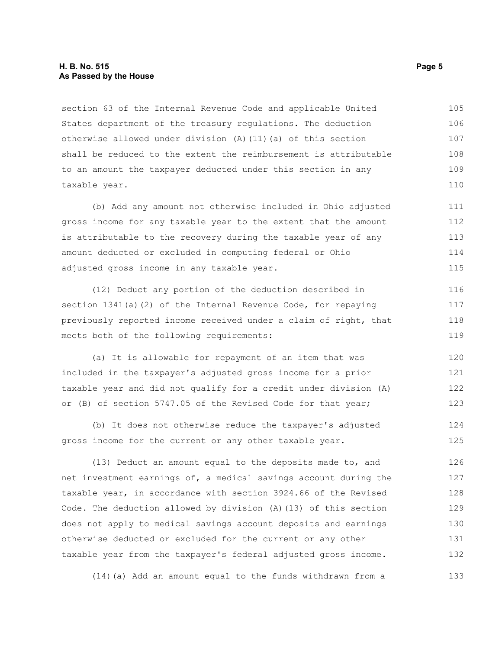## **H. B. No. 515 Page 5 As Passed by the House**

section 63 of the Internal Revenue Code and applicable United States department of the treasury regulations. The deduction otherwise allowed under division (A)(11)(a) of this section shall be reduced to the extent the reimbursement is attributable to an amount the taxpayer deducted under this section in any taxable year. 105 106 107 108 109 110

(b) Add any amount not otherwise included in Ohio adjusted gross income for any taxable year to the extent that the amount is attributable to the recovery during the taxable year of any amount deducted or excluded in computing federal or Ohio adjusted gross income in any taxable year.

(12) Deduct any portion of the deduction described in section 1341(a)(2) of the Internal Revenue Code, for repaying previously reported income received under a claim of right, that meets both of the following requirements: 116 117 118 119

(a) It is allowable for repayment of an item that was included in the taxpayer's adjusted gross income for a prior taxable year and did not qualify for a credit under division (A) or (B) of section 5747.05 of the Revised Code for that year; 120 121 122 123

(b) It does not otherwise reduce the taxpayer's adjusted gross income for the current or any other taxable year. 124 125

(13) Deduct an amount equal to the deposits made to, and net investment earnings of, a medical savings account during the taxable year, in accordance with section 3924.66 of the Revised Code. The deduction allowed by division (A)(13) of this section does not apply to medical savings account deposits and earnings otherwise deducted or excluded for the current or any other taxable year from the taxpayer's federal adjusted gross income. 126 127 128 129 130 131 132

(14)(a) Add an amount equal to the funds withdrawn from a 133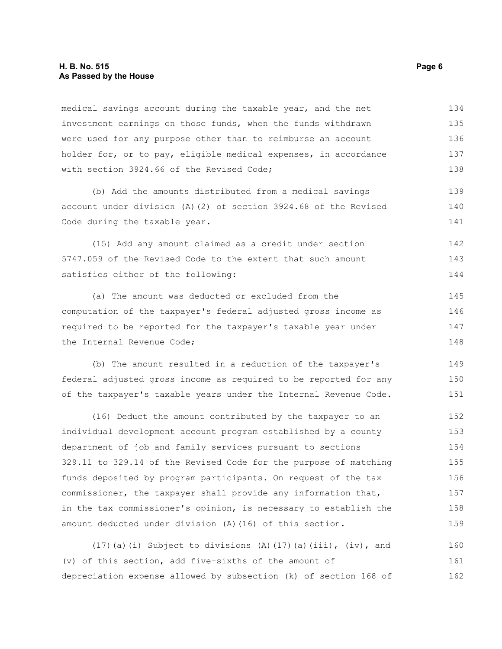## **H. B. No. 515 Page 6 As Passed by the House**

medical savings account during the taxable year, and the net investment earnings on those funds, when the funds withdrawn were used for any purpose other than to reimburse an account holder for, or to pay, eligible medical expenses, in accordance with section 3924.66 of the Revised Code; 134 135 136 137 138

(b) Add the amounts distributed from a medical savings account under division (A)(2) of section 3924.68 of the Revised Code during the taxable year.

(15) Add any amount claimed as a credit under section 5747.059 of the Revised Code to the extent that such amount satisfies either of the following: 142 143 144

(a) The amount was deducted or excluded from the computation of the taxpayer's federal adjusted gross income as required to be reported for the taxpayer's taxable year under the Internal Revenue Code; 145 146 147 148

(b) The amount resulted in a reduction of the taxpayer's federal adjusted gross income as required to be reported for any of the taxpayer's taxable years under the Internal Revenue Code. 149 150 151

(16) Deduct the amount contributed by the taxpayer to an individual development account program established by a county department of job and family services pursuant to sections 329.11 to 329.14 of the Revised Code for the purpose of matching funds deposited by program participants. On request of the tax commissioner, the taxpayer shall provide any information that, in the tax commissioner's opinion, is necessary to establish the amount deducted under division (A)(16) of this section. 152 153 154 155 156 157 158 159

(17)(a)(i) Subject to divisions (A)(17)(a)(iii), (iv), and (v) of this section, add five-sixths of the amount of depreciation expense allowed by subsection (k) of section 168 of 160 161 162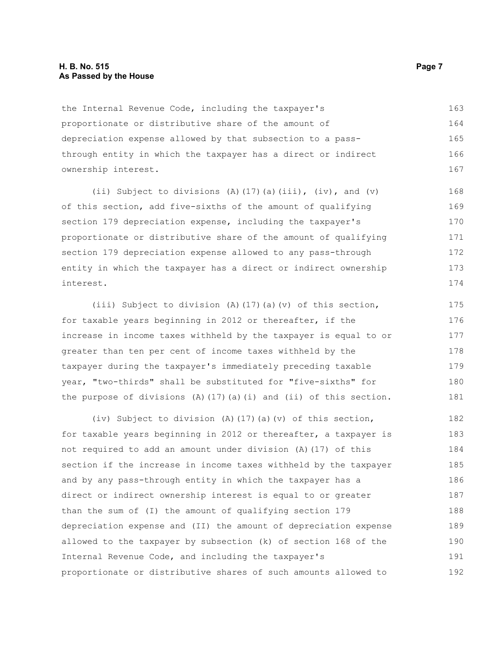## **H. B. No. 515 Page 7 As Passed by the House**

the Internal Revenue Code, including the taxpayer's proportionate or distributive share of the amount of depreciation expense allowed by that subsection to a passthrough entity in which the taxpayer has a direct or indirect ownership interest. 163 164 165 166 167

(ii) Subject to divisions (A)(17)(a)(iii), (iv), and (v) of this section, add five-sixths of the amount of qualifying section 179 depreciation expense, including the taxpayer's proportionate or distributive share of the amount of qualifying section 179 depreciation expense allowed to any pass-through entity in which the taxpayer has a direct or indirect ownership interest. 168 169 170 171 172 173 174

(iii) Subject to division (A)(17)(a)(v) of this section, for taxable years beginning in 2012 or thereafter, if the increase in income taxes withheld by the taxpayer is equal to or greater than ten per cent of income taxes withheld by the taxpayer during the taxpayer's immediately preceding taxable year, "two-thirds" shall be substituted for "five-sixths" for the purpose of divisions  $(A)$  (17)(a)(i) and (ii) of this section. 175 176 177 178 179 180 181

(iv) Subject to division (A)(17)(a)(v) of this section, for taxable years beginning in 2012 or thereafter, a taxpayer is not required to add an amount under division (A)(17) of this section if the increase in income taxes withheld by the taxpayer and by any pass-through entity in which the taxpayer has a direct or indirect ownership interest is equal to or greater than the sum of (I) the amount of qualifying section 179 depreciation expense and (II) the amount of depreciation expense allowed to the taxpayer by subsection (k) of section 168 of the Internal Revenue Code, and including the taxpayer's proportionate or distributive shares of such amounts allowed to 182 183 184 185 186 187 188 189 190 191 192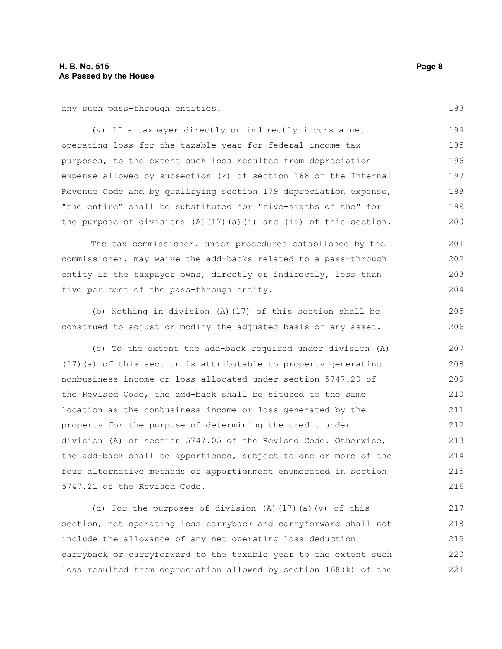any such pass-through entities.

(v) If a taxpayer directly or indirectly incurs a net operating loss for the taxable year for federal income tax purposes, to the extent such loss resulted from depreciation expense allowed by subsection (k) of section 168 of the Internal Revenue Code and by qualifying section 179 depreciation expense, "the entire" shall be substituted for "five-sixths of the" for the purpose of divisions (A)(17)(a)(i) and (ii) of this section. 194 195 196 197 198 199 200

The tax commissioner, under procedures established by the commissioner, may waive the add-backs related to a pass-through entity if the taxpayer owns, directly or indirectly, less than five per cent of the pass-through entity. 201 202 203 204

(b) Nothing in division (A)(17) of this section shall be construed to adjust or modify the adjusted basis of any asset.

(c) To the extent the add-back required under division (A) (17)(a) of this section is attributable to property generating nonbusiness income or loss allocated under section 5747.20 of the Revised Code, the add-back shall be sitused to the same location as the nonbusiness income or loss generated by the property for the purpose of determining the credit under division (A) of section 5747.05 of the Revised Code. Otherwise, the add-back shall be apportioned, subject to one or more of the four alternative methods of apportionment enumerated in section 5747.21 of the Revised Code. 207 208 209 210 211 212 213 214 215 216

(d) For the purposes of division (A)(17)(a)(v) of this section, net operating loss carryback and carryforward shall not include the allowance of any net operating loss deduction carryback or carryforward to the taxable year to the extent such loss resulted from depreciation allowed by section 168(k) of the 217 218 219 220 221

193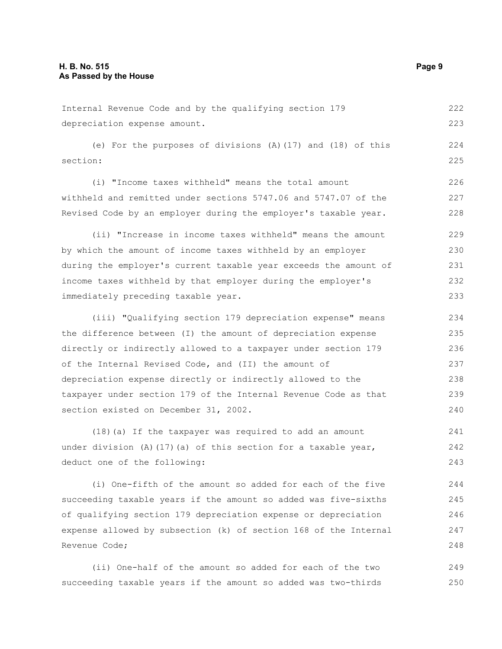Internal Revenue Code and by the qualifying section 179 depreciation expense amount. (e) For the purposes of divisions (A)(17) and (18) of this section: (i) "Income taxes withheld" means the total amount withheld and remitted under sections 5747.06 and 5747.07 of the Revised Code by an employer during the employer's taxable year. (ii) "Increase in income taxes withheld" means the amount by which the amount of income taxes withheld by an employer during the employer's current taxable year exceeds the amount of income taxes withheld by that employer during the employer's immediately preceding taxable year. (iii) "Qualifying section 179 depreciation expense" means the difference between (I) the amount of depreciation expense directly or indirectly allowed to a taxpayer under section 179 222 223 224 225 226 227 228 229 230 231 232 233 234 235 236

of the Internal Revised Code, and (II) the amount of depreciation expense directly or indirectly allowed to the taxpayer under section 179 of the Internal Revenue Code as that section existed on December 31, 2002. 237 238 239 240

(18)(a) If the taxpayer was required to add an amount under division (A)(17)(a) of this section for a taxable year, deduct one of the following: 241 242 243

(i) One-fifth of the amount so added for each of the five succeeding taxable years if the amount so added was five-sixths of qualifying section 179 depreciation expense or depreciation expense allowed by subsection (k) of section 168 of the Internal Revenue Code; 244 245 246 247 248

(ii) One-half of the amount so added for each of the two succeeding taxable years if the amount so added was two-thirds 249 250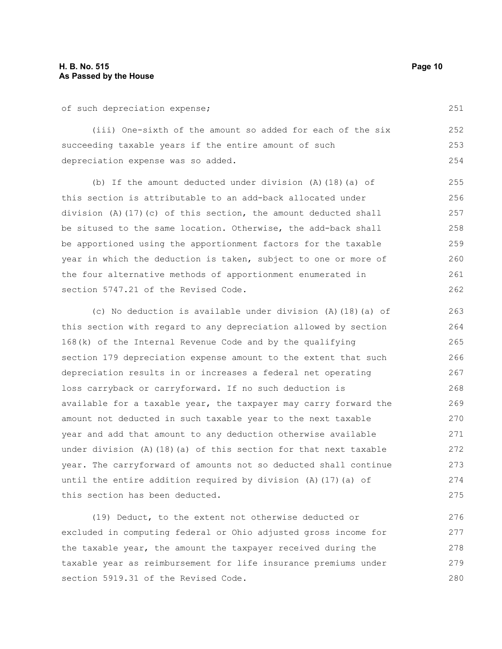of such depreciation expense;

(iii) One-sixth of the amount so added for each of the six succeeding taxable years if the entire amount of such depreciation expense was so added. 252 253 254

(b) If the amount deducted under division (A)(18)(a) of this section is attributable to an add-back allocated under division (A)(17)(c) of this section, the amount deducted shall be sitused to the same location. Otherwise, the add-back shall be apportioned using the apportionment factors for the taxable year in which the deduction is taken, subject to one or more of the four alternative methods of apportionment enumerated in section 5747.21 of the Revised Code. 255 256 257 258 259 260 261 262

(c) No deduction is available under division (A)(18)(a) of this section with regard to any depreciation allowed by section 168(k) of the Internal Revenue Code and by the qualifying section 179 depreciation expense amount to the extent that such depreciation results in or increases a federal net operating loss carryback or carryforward. If no such deduction is available for a taxable year, the taxpayer may carry forward the amount not deducted in such taxable year to the next taxable year and add that amount to any deduction otherwise available under division (A)(18)(a) of this section for that next taxable year. The carryforward of amounts not so deducted shall continue until the entire addition required by division (A)(17)(a) of this section has been deducted. 263 264 265 266 267 268 269 270 271 272 273 274 275

(19) Deduct, to the extent not otherwise deducted or excluded in computing federal or Ohio adjusted gross income for the taxable year, the amount the taxpayer received during the taxable year as reimbursement for life insurance premiums under section 5919.31 of the Revised Code. 276 277 278 279 280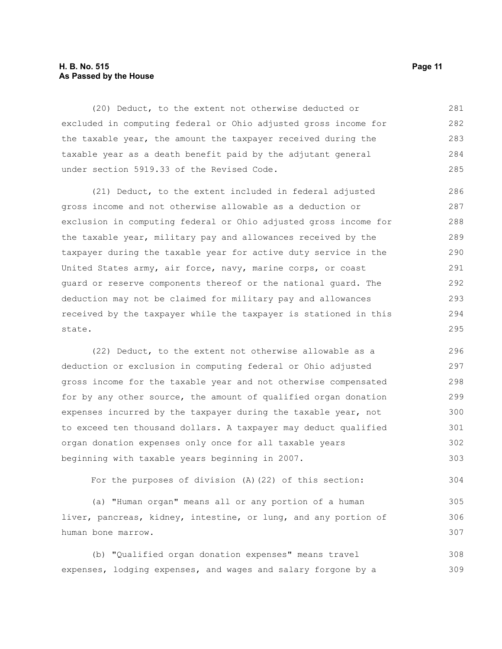## **H. B. No. 515 Page 11 As Passed by the House**

(20) Deduct, to the extent not otherwise deducted or excluded in computing federal or Ohio adjusted gross income for the taxable year, the amount the taxpayer received during the taxable year as a death benefit paid by the adjutant general under section 5919.33 of the Revised Code. 281 282 283 284 285

(21) Deduct, to the extent included in federal adjusted gross income and not otherwise allowable as a deduction or exclusion in computing federal or Ohio adjusted gross income for the taxable year, military pay and allowances received by the taxpayer during the taxable year for active duty service in the United States army, air force, navy, marine corps, or coast guard or reserve components thereof or the national guard. The deduction may not be claimed for military pay and allowances received by the taxpayer while the taxpayer is stationed in this state. 286 287 288 289 290 291 292 293 294 295

(22) Deduct, to the extent not otherwise allowable as a deduction or exclusion in computing federal or Ohio adjusted gross income for the taxable year and not otherwise compensated for by any other source, the amount of qualified organ donation expenses incurred by the taxpayer during the taxable year, not to exceed ten thousand dollars. A taxpayer may deduct qualified organ donation expenses only once for all taxable years beginning with taxable years beginning in 2007. 296 297 298 299 300 301 302 303

For the purposes of division (A)(22) of this section: 304

(a) "Human organ" means all or any portion of a human liver, pancreas, kidney, intestine, or lung, and any portion of human bone marrow. 305 306 307

(b) "Qualified organ donation expenses" means travel expenses, lodging expenses, and wages and salary forgone by a 308 309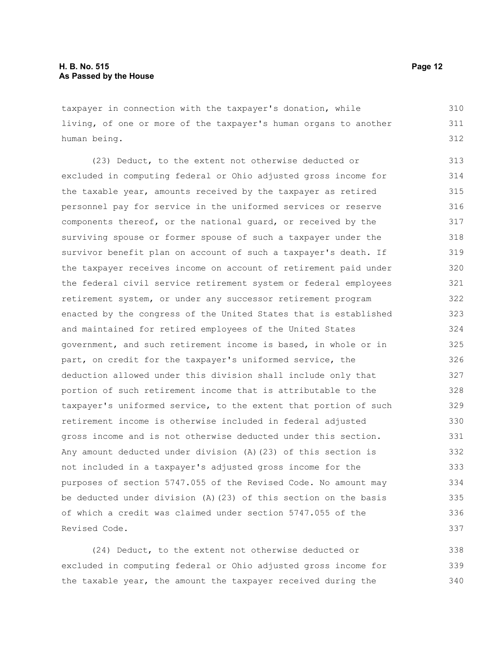taxpayer in connection with the taxpayer's donation, while living, of one or more of the taxpayer's human organs to another human being. 310 311 312

(23) Deduct, to the extent not otherwise deducted or excluded in computing federal or Ohio adjusted gross income for the taxable year, amounts received by the taxpayer as retired personnel pay for service in the uniformed services or reserve components thereof, or the national guard, or received by the surviving spouse or former spouse of such a taxpayer under the survivor benefit plan on account of such a taxpayer's death. If the taxpayer receives income on account of retirement paid under the federal civil service retirement system or federal employees retirement system, or under any successor retirement program enacted by the congress of the United States that is established and maintained for retired employees of the United States government, and such retirement income is based, in whole or in part, on credit for the taxpayer's uniformed service, the deduction allowed under this division shall include only that portion of such retirement income that is attributable to the taxpayer's uniformed service, to the extent that portion of such retirement income is otherwise included in federal adjusted gross income and is not otherwise deducted under this section. Any amount deducted under division (A)(23) of this section is not included in a taxpayer's adjusted gross income for the purposes of section 5747.055 of the Revised Code. No amount may be deducted under division (A)(23) of this section on the basis of which a credit was claimed under section 5747.055 of the Revised Code. 313 314 315 316 317 318 319 320 321 322 323 324 325 326 327 328 329 330 331 332 333 334 335 336 337

(24) Deduct, to the extent not otherwise deducted or excluded in computing federal or Ohio adjusted gross income for the taxable year, the amount the taxpayer received during the 338 339 340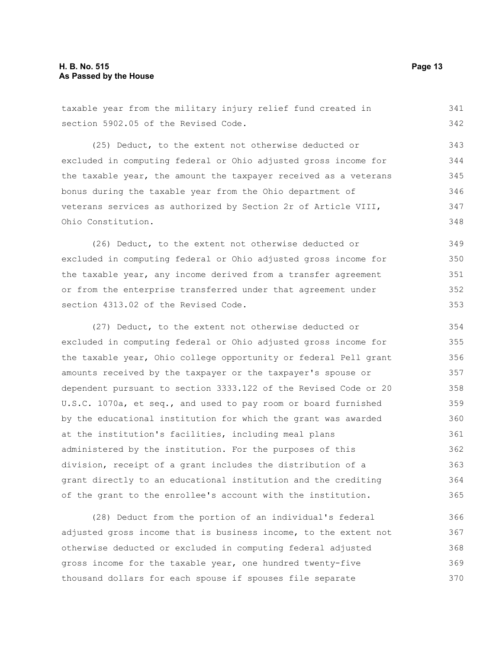taxable year from the military injury relief fund created in section 5902.05 of the Revised Code. (25) Deduct, to the extent not otherwise deducted or excluded in computing federal or Ohio adjusted gross income for the taxable year, the amount the taxpayer received as a veterans bonus during the taxable year from the Ohio department of veterans services as authorized by Section 2r of Article VIII, Ohio Constitution. (26) Deduct, to the extent not otherwise deducted or excluded in computing federal or Ohio adjusted gross income for the taxable year, any income derived from a transfer agreement or from the enterprise transferred under that agreement under section 4313.02 of the Revised Code. (27) Deduct, to the extent not otherwise deducted or excluded in computing federal or Ohio adjusted gross income for the taxable year, Ohio college opportunity or federal Pell grant amounts received by the taxpayer or the taxpayer's spouse or dependent pursuant to section 3333.122 of the Revised Code or 20 U.S.C. 1070a, et seq., and used to pay room or board furnished by the educational institution for which the grant was awarded at the institution's facilities, including meal plans administered by the institution. For the purposes of this division, receipt of a grant includes the distribution of a grant directly to an educational institution and the crediting of the grant to the enrollee's account with the institution. 341 342 343 344 345 346 347 348 349 350 351 352 353 354 355 356 357 358 359 360 361 362 363 364 365

(28) Deduct from the portion of an individual's federal adjusted gross income that is business income, to the extent not otherwise deducted or excluded in computing federal adjusted gross income for the taxable year, one hundred twenty-five thousand dollars for each spouse if spouses file separate 366 367 368 369 370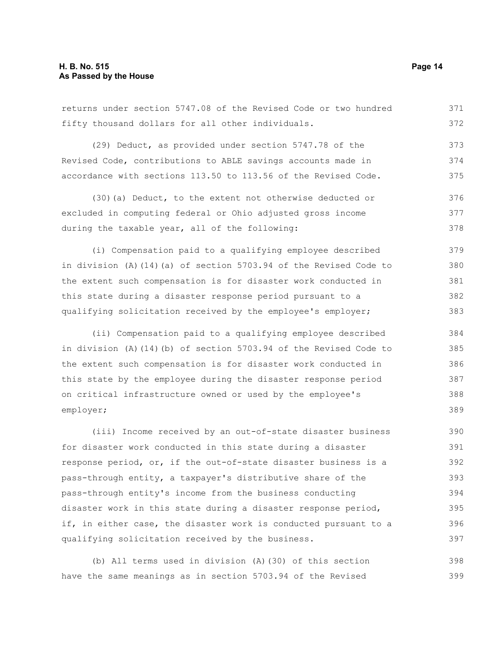returns under section 5747.08 of the Revised Code or two hundred fifty thousand dollars for all other individuals. 371 372

(29) Deduct, as provided under section 5747.78 of the Revised Code, contributions to ABLE savings accounts made in accordance with sections 113.50 to 113.56 of the Revised Code. 373 374 375

(30)(a) Deduct, to the extent not otherwise deducted or excluded in computing federal or Ohio adjusted gross income during the taxable year, all of the following: 376 377 378

(i) Compensation paid to a qualifying employee described in division (A)(14)(a) of section 5703.94 of the Revised Code to the extent such compensation is for disaster work conducted in this state during a disaster response period pursuant to a qualifying solicitation received by the employee's employer; 379 380 381 382 383

(ii) Compensation paid to a qualifying employee described in division (A)(14)(b) of section 5703.94 of the Revised Code to the extent such compensation is for disaster work conducted in this state by the employee during the disaster response period on critical infrastructure owned or used by the employee's employer; 384 385 387

(iii) Income received by an out-of-state disaster business for disaster work conducted in this state during a disaster response period, or, if the out-of-state disaster business is a pass-through entity, a taxpayer's distributive share of the pass-through entity's income from the business conducting disaster work in this state during a disaster response period, if, in either case, the disaster work is conducted pursuant to a qualifying solicitation received by the business. 390 391 392 393 394 395 396 397

(b) All terms used in division (A)(30) of this section have the same meanings as in section 5703.94 of the Revised 398 399

386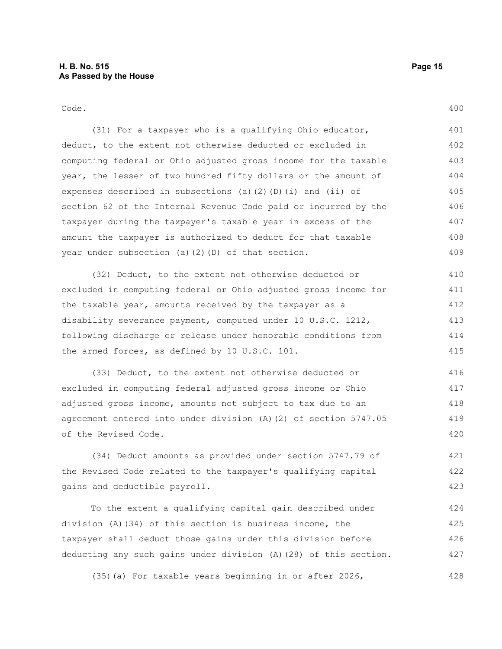Code.

(31) For a taxpayer who is a qualifying Ohio educator, deduct, to the extent not otherwise deducted or excluded in computing federal or Ohio adjusted gross income for the taxable year, the lesser of two hundred fifty dollars or the amount of expenses described in subsections (a)(2)(D)(i) and (ii) of section 62 of the Internal Revenue Code paid or incurred by the taxpayer during the taxpayer's taxable year in excess of the amount the taxpayer is authorized to deduct for that taxable year under subsection (a)(2)(D) of that section. 401 402 403 404 405 406 407 408 409

(32) Deduct, to the extent not otherwise deducted or excluded in computing federal or Ohio adjusted gross income for the taxable year, amounts received by the taxpayer as a disability severance payment, computed under 10 U.S.C. 1212, following discharge or release under honorable conditions from the armed forces, as defined by 10 U.S.C. 101. 410 411 412 413 414 415

(33) Deduct, to the extent not otherwise deducted or excluded in computing federal adjusted gross income or Ohio adjusted gross income, amounts not subject to tax due to an agreement entered into under division (A)(2) of section 5747.05 of the Revised Code. 416 417 418 419 420

(34) Deduct amounts as provided under section 5747.79 of the Revised Code related to the taxpayer's qualifying capital gains and deductible payroll. 421 422 423

To the extent a qualifying capital gain described under division (A)(34) of this section is business income, the taxpayer shall deduct those gains under this division before deducting any such gains under division (A)(28) of this section. 424 425 426 427

(35)(a) For taxable years beginning in or after 2026, 428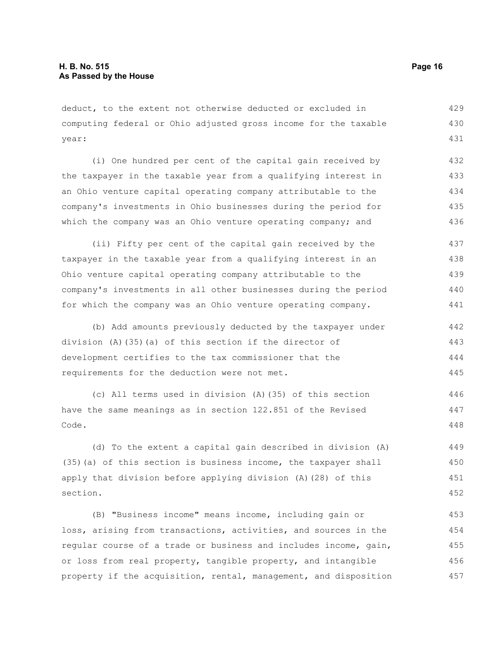deduct, to the extent not otherwise deducted or excluded in computing federal or Ohio adjusted gross income for the taxable year: 429 430 431

(i) One hundred per cent of the capital gain received by the taxpayer in the taxable year from a qualifying interest in an Ohio venture capital operating company attributable to the company's investments in Ohio businesses during the period for which the company was an Ohio venture operating company; and 432 433 434 435 436

(ii) Fifty per cent of the capital gain received by the taxpayer in the taxable year from a qualifying interest in an Ohio venture capital operating company attributable to the company's investments in all other businesses during the period for which the company was an Ohio venture operating company. 437 438 439 440 441

(b) Add amounts previously deducted by the taxpayer under division (A)(35)(a) of this section if the director of development certifies to the tax commissioner that the requirements for the deduction were not met. 442 443 444 445

(c) All terms used in division (A)(35) of this section have the same meanings as in section 122.851 of the Revised Code. 446 447 448

(d) To the extent a capital gain described in division (A) (35)(a) of this section is business income, the taxpayer shall apply that division before applying division (A)(28) of this section.

(B) "Business income" means income, including gain or loss, arising from transactions, activities, and sources in the regular course of a trade or business and includes income, gain, or loss from real property, tangible property, and intangible property if the acquisition, rental, management, and disposition 453 454 455 456 457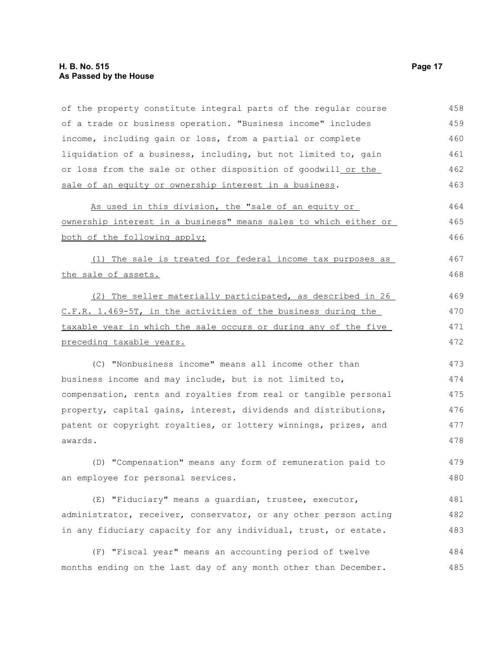## **H. B. No. 515 Page 17 As Passed by the House**

| of the property constitute integral parts of the regular course  | 458 |
|------------------------------------------------------------------|-----|
| of a trade or business operation. "Business income" includes     | 459 |
| income, including gain or loss, from a partial or complete       | 460 |
| liquidation of a business, including, but not limited to, gain   | 461 |
| or loss from the sale or other disposition of goodwill_or the    | 462 |
| sale of an equity or ownership interest in a business.           | 463 |
| As used in this division, the "sale of an equity or              | 464 |
| ownership interest in a business" means sales to which either or | 465 |
| both of the following apply:                                     | 466 |
| (1) The sale is treated for federal income tax purposes as       | 467 |
| the sale of assets.                                              | 468 |
| (2) The seller materially participated, as described in 26       | 469 |
| C.F.R. 1.469-5T, in the activities of the business during the    | 470 |
| taxable year in which the sale occurs or during any of the five  | 471 |
| preceding taxable years.                                         | 472 |
| (C) "Nonbusiness income" means all income other than             | 473 |
| business income and may include, but is not limited to,          | 474 |
| compensation, rents and royalties from real or tangible personal | 475 |
| property, capital gains, interest, dividends and distributions,  | 476 |
| patent or copyright royalties, or lottery winnings, prizes, and  | 477 |
| awards.                                                          | 478 |
| (D) "Compensation" means any form of remuneration paid to        | 479 |
| an employee for personal services.                               | 480 |
| (E) "Fiduciary" means a guardian, trustee, executor,             | 481 |
| administrator, receiver, conservator, or any other person acting | 482 |
| in any fiduciary capacity for any individual, trust, or estate.  | 483 |
| (F) "Fiscal year" means an accounting period of twelve           | 484 |
| months ending on the last day of any month other than December.  | 485 |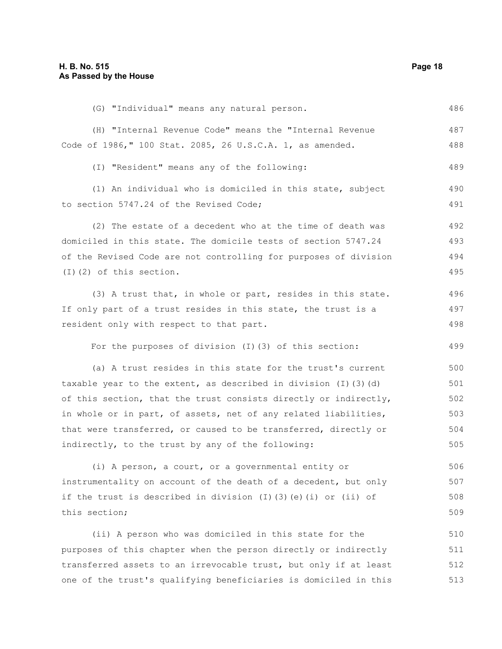| (G) "Individual" means any natural person.                             | 486 |
|------------------------------------------------------------------------|-----|
| (H) "Internal Revenue Code" means the "Internal Revenue                | 487 |
| Code of 1986," 100 Stat. 2085, 26 U.S.C.A. 1, as amended.              | 488 |
| (I) "Resident" means any of the following:                             | 489 |
| (1) An individual who is domiciled in this state, subject              | 490 |
| to section 5747.24 of the Revised Code;                                | 491 |
| (2) The estate of a decedent who at the time of death was              | 492 |
| domiciled in this state. The domicile tests of section 5747.24         | 493 |
| of the Revised Code are not controlling for purposes of division       | 494 |
| $(I)$ $(2)$ of this section.                                           | 495 |
| (3) A trust that, in whole or part, resides in this state.             | 496 |
| If only part of a trust resides in this state, the trust is a          | 497 |
| resident only with respect to that part.                               | 498 |
| For the purposes of division (I)(3) of this section:                   | 499 |
| (a) A trust resides in this state for the trust's current              | 500 |
| taxable year to the extent, as described in division $(I)$ $(3)$ $(d)$ | 501 |
| of this section, that the trust consists directly or indirectly,       | 502 |
| in whole or in part, of assets, net of any related liabilities,        | 503 |
| that were transferred, or caused to be transferred, directly or        | 504 |
| indirectly, to the trust by any of the following:                      | 505 |
| (i) A person, a court, or a governmental entity or                     | 506 |
| instrumentality on account of the death of a decedent, but only        | 507 |
| if the trust is described in division (I)(3)(e)(i) or (ii) of          | 508 |
| this section;                                                          | 509 |
| (ii) A person who was domiciled in this state for the                  | 510 |
| purposes of this chapter when the person directly or indirectly        | 511 |
| transferred assets to an irrevocable trust, but only if at least       | 512 |
| one of the trust's qualifying beneficiaries is domiciled in this       | 513 |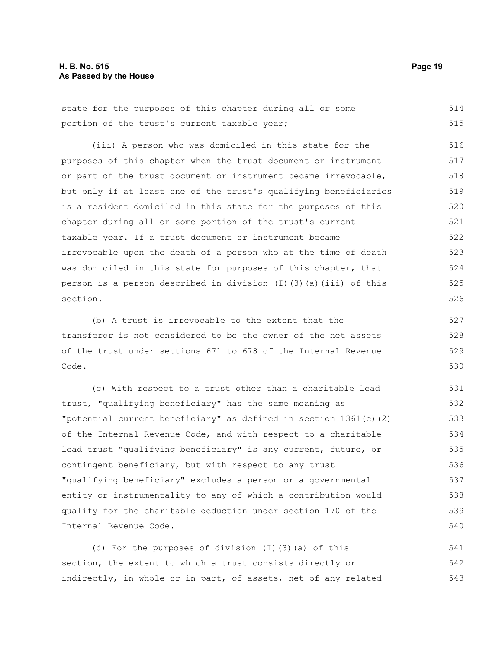## **H. B. No. 515 Page 19 As Passed by the House**

state for the purposes of this chapter during all or some portion of the trust's current taxable year; 514 515

(iii) A person who was domiciled in this state for the purposes of this chapter when the trust document or instrument or part of the trust document or instrument became irrevocable, but only if at least one of the trust's qualifying beneficiaries is a resident domiciled in this state for the purposes of this chapter during all or some portion of the trust's current taxable year. If a trust document or instrument became irrevocable upon the death of a person who at the time of death was domiciled in this state for purposes of this chapter, that person is a person described in division  $(I)$  (3)(a)(iii) of this section. 516 517 518 519 520 521 522 523 524 525 526

(b) A trust is irrevocable to the extent that the transferor is not considered to be the owner of the net assets of the trust under sections 671 to 678 of the Internal Revenue Code. 527 528 529 530

(c) With respect to a trust other than a charitable lead trust, "qualifying beneficiary" has the same meaning as "potential current beneficiary" as defined in section 1361(e)(2) of the Internal Revenue Code, and with respect to a charitable lead trust "qualifying beneficiary" is any current, future, or contingent beneficiary, but with respect to any trust "qualifying beneficiary" excludes a person or a governmental entity or instrumentality to any of which a contribution would qualify for the charitable deduction under section 170 of the Internal Revenue Code. 531 532 533 534 535 536 537 538 539 540

(d) For the purposes of division (I)(3)(a) of this section, the extent to which a trust consists directly or indirectly, in whole or in part, of assets, net of any related 541 542 543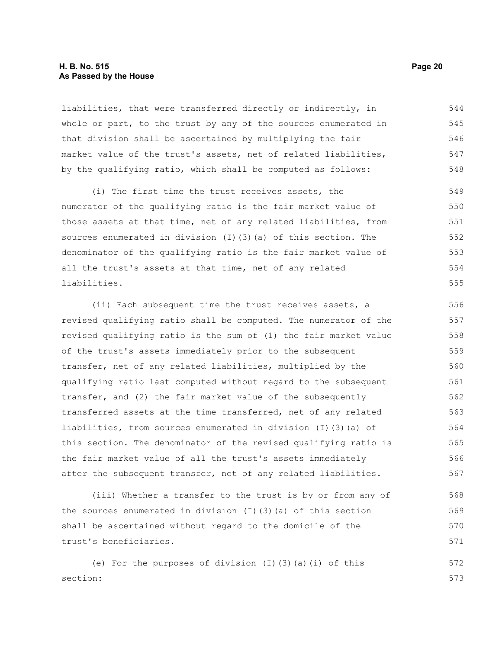## **H. B. No. 515 Page 20 As Passed by the House**

liabilities, that were transferred directly or indirectly, in whole or part, to the trust by any of the sources enumerated in that division shall be ascertained by multiplying the fair market value of the trust's assets, net of related liabilities, by the qualifying ratio, which shall be computed as follows: 544 545 546 547 548

(i) The first time the trust receives assets, the numerator of the qualifying ratio is the fair market value of those assets at that time, net of any related liabilities, from sources enumerated in division (I)(3)(a) of this section. The denominator of the qualifying ratio is the fair market value of all the trust's assets at that time, net of any related liabilities. 549 550 551 552 553 554 555

(ii) Each subsequent time the trust receives assets, a revised qualifying ratio shall be computed. The numerator of the revised qualifying ratio is the sum of (1) the fair market value of the trust's assets immediately prior to the subsequent transfer, net of any related liabilities, multiplied by the qualifying ratio last computed without regard to the subsequent transfer, and (2) the fair market value of the subsequently transferred assets at the time transferred, net of any related liabilities, from sources enumerated in division (I)(3)(a) of this section. The denominator of the revised qualifying ratio is the fair market value of all the trust's assets immediately after the subsequent transfer, net of any related liabilities. 556 557 558 559 560 561 562 563 564 565 566 567

(iii) Whether a transfer to the trust is by or from any of the sources enumerated in division (I)(3)(a) of this section shall be ascertained without regard to the domicile of the trust's beneficiaries. 568 569 570 571

(e) For the purposes of division (I)(3)(a)(i) of this section: 572 573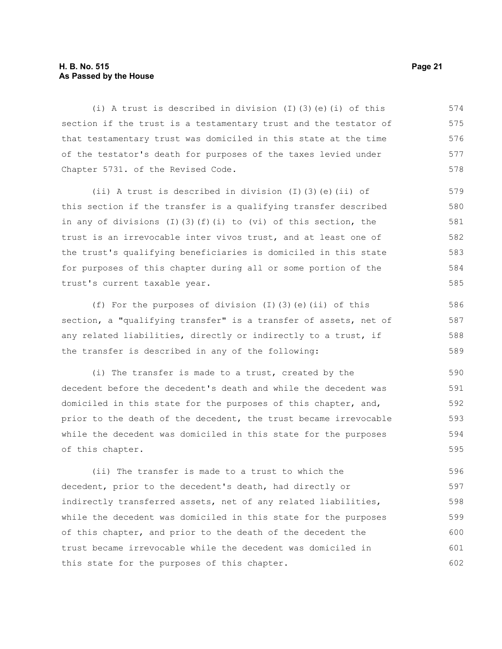## **H. B. No. 515 Page 21 As Passed by the House**

(i) A trust is described in division (I)(3)(e)(i) of this section if the trust is a testamentary trust and the testator of that testamentary trust was domiciled in this state at the time of the testator's death for purposes of the taxes levied under Chapter 5731. of the Revised Code. 574 575 576 577 578

(ii) A trust is described in division (I)(3)(e)(ii) of this section if the transfer is a qualifying transfer described in any of divisions (I)(3)(f)(i) to (vi) of this section, the trust is an irrevocable inter vivos trust, and at least one of the trust's qualifying beneficiaries is domiciled in this state for purposes of this chapter during all or some portion of the trust's current taxable year.

(f) For the purposes of division (I)(3)(e)(ii) of this section, a "qualifying transfer" is a transfer of assets, net of any related liabilities, directly or indirectly to a trust, if the transfer is described in any of the following:

(i) The transfer is made to a trust, created by the decedent before the decedent's death and while the decedent was domiciled in this state for the purposes of this chapter, and, prior to the death of the decedent, the trust became irrevocable while the decedent was domiciled in this state for the purposes of this chapter. 590 591 592 593 594 595

(ii) The transfer is made to a trust to which the decedent, prior to the decedent's death, had directly or indirectly transferred assets, net of any related liabilities, while the decedent was domiciled in this state for the purposes of this chapter, and prior to the death of the decedent the trust became irrevocable while the decedent was domiciled in this state for the purposes of this chapter. 596 597 598 599 600 601 602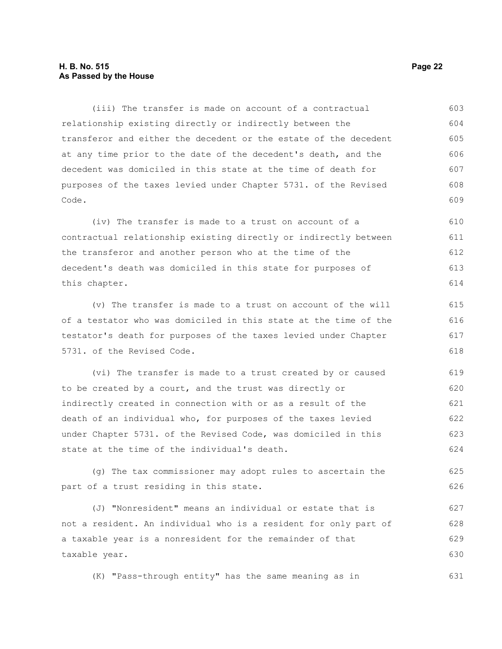## **H. B. No. 515 Page 22 As Passed by the House**

(iii) The transfer is made on account of a contractual relationship existing directly or indirectly between the transferor and either the decedent or the estate of the decedent at any time prior to the date of the decedent's death, and the decedent was domiciled in this state at the time of death for purposes of the taxes levied under Chapter 5731. of the Revised Code. 603 604 605 606 607 608 609

(iv) The transfer is made to a trust on account of a contractual relationship existing directly or indirectly between the transferor and another person who at the time of the decedent's death was domiciled in this state for purposes of this chapter. 610 611 612 613 614

(v) The transfer is made to a trust on account of the will of a testator who was domiciled in this state at the time of the testator's death for purposes of the taxes levied under Chapter 5731. of the Revised Code.

(vi) The transfer is made to a trust created by or caused to be created by a court, and the trust was directly or indirectly created in connection with or as a result of the death of an individual who, for purposes of the taxes levied under Chapter 5731. of the Revised Code, was domiciled in this state at the time of the individual's death. 619 620 621 622 623 624

(g) The tax commissioner may adopt rules to ascertain the part of a trust residing in this state. 625 626

(J) "Nonresident" means an individual or estate that is not a resident. An individual who is a resident for only part of a taxable year is a nonresident for the remainder of that taxable year. 627 628 629 630

(K) "Pass-through entity" has the same meaning as in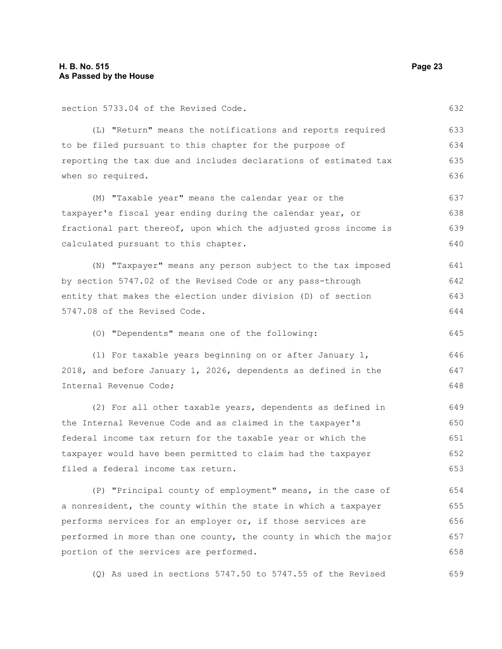section 5733.04 of the Revised Code.

(L) "Return" means the notifications and reports required to be filed pursuant to this chapter for the purpose of reporting the tax due and includes declarations of estimated tax when so required. 633 634 635 636

(M) "Taxable year" means the calendar year or the taxpayer's fiscal year ending during the calendar year, or fractional part thereof, upon which the adjusted gross income is calculated pursuant to this chapter. 637 638 639 640

(N) "Taxpayer" means any person subject to the tax imposed by section 5747.02 of the Revised Code or any pass-through entity that makes the election under division (D) of section 5747.08 of the Revised Code. 641 642 643 644

(O) "Dependents" means one of the following:

(1) For taxable years beginning on or after January 1, 2018, and before January 1, 2026, dependents as defined in the Internal Revenue Code; 646 647 648

(2) For all other taxable years, dependents as defined in the Internal Revenue Code and as claimed in the taxpayer's federal income tax return for the taxable year or which the taxpayer would have been permitted to claim had the taxpayer filed a federal income tax return. 649 650 651 652 653

(P) "Principal county of employment" means, in the case of a nonresident, the county within the state in which a taxpayer performs services for an employer or, if those services are performed in more than one county, the county in which the major portion of the services are performed. 654 655 656 657 658

(Q) As used in sections 5747.50 to 5747.55 of the Revised

632

645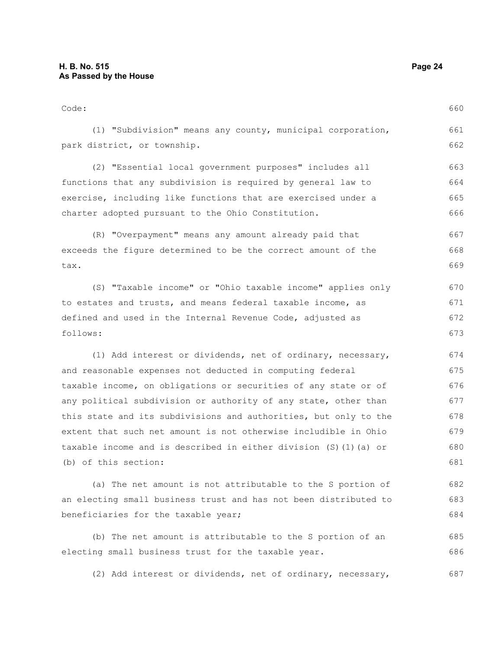Code: (1) "Subdivision" means any county, municipal corporation, park district, or township. (2) "Essential local government purposes" includes all functions that any subdivision is required by general law to exercise, including like functions that are exercised under a charter adopted pursuant to the Ohio Constitution. (R) "Overpayment" means any amount already paid that exceeds the figure determined to be the correct amount of the tax. (S) "Taxable income" or "Ohio taxable income" applies only to estates and trusts, and means federal taxable income, as defined and used in the Internal Revenue Code, adjusted as follows: (1) Add interest or dividends, net of ordinary, necessary, and reasonable expenses not deducted in computing federal taxable income, on obligations or securities of any state or of any political subdivision or authority of any state, other than this state and its subdivisions and authorities, but only to the extent that such net amount is not otherwise includible in Ohio taxable income and is described in either division (S)(1)(a) or (b) of this section: (a) The net amount is not attributable to the S portion of an electing small business trust and has not been distributed to beneficiaries for the taxable year; 660 661 662 663 664 665 666 667 668 669 670 671 672 673 674 675 676 677 678 679 680 681 682 683 684

(b) The net amount is attributable to the S portion of an electing small business trust for the taxable year. 685 686

(2) Add interest or dividends, net of ordinary, necessary, 687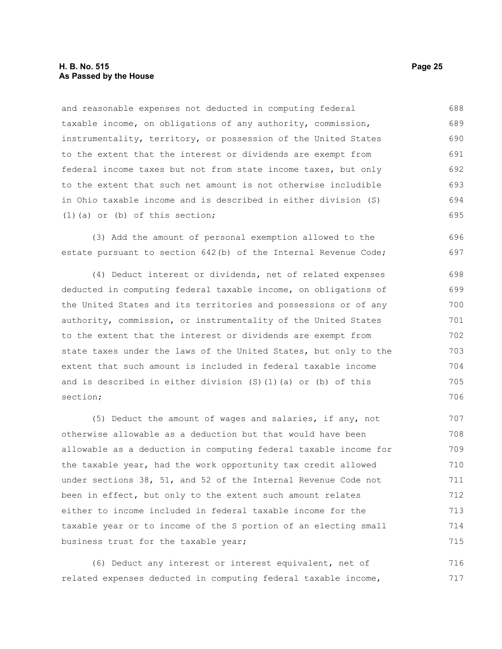and reasonable expenses not deducted in computing federal taxable income, on obligations of any authority, commission, instrumentality, territory, or possession of the United States to the extent that the interest or dividends are exempt from federal income taxes but not from state income taxes, but only to the extent that such net amount is not otherwise includible in Ohio taxable income and is described in either division (S) (1)(a) or (b) of this section; 688 689 690 691 692 693 694 695

(3) Add the amount of personal exemption allowed to the estate pursuant to section 642(b) of the Internal Revenue Code; 696 697

(4) Deduct interest or dividends, net of related expenses deducted in computing federal taxable income, on obligations of the United States and its territories and possessions or of any authority, commission, or instrumentality of the United States to the extent that the interest or dividends are exempt from state taxes under the laws of the United States, but only to the extent that such amount is included in federal taxable income and is described in either division (S)(1)(a) or (b) of this section;

(5) Deduct the amount of wages and salaries, if any, not otherwise allowable as a deduction but that would have been allowable as a deduction in computing federal taxable income for the taxable year, had the work opportunity tax credit allowed under sections 38, 51, and 52 of the Internal Revenue Code not been in effect, but only to the extent such amount relates either to income included in federal taxable income for the taxable year or to income of the S portion of an electing small business trust for the taxable year; 707 708 709 710 711 712 713 714 715

(6) Deduct any interest or interest equivalent, net of related expenses deducted in computing federal taxable income, 716 717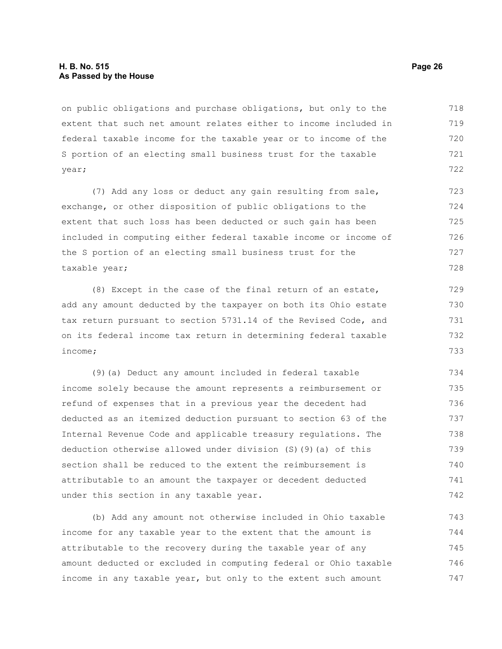on public obligations and purchase obligations, but only to the extent that such net amount relates either to income included in federal taxable income for the taxable year or to income of the S portion of an electing small business trust for the taxable year; 718 719 720 721 722

(7) Add any loss or deduct any gain resulting from sale, exchange, or other disposition of public obligations to the extent that such loss has been deducted or such gain has been included in computing either federal taxable income or income of the S portion of an electing small business trust for the taxable year; 723 724 725 726 727 728

(8) Except in the case of the final return of an estate, add any amount deducted by the taxpayer on both its Ohio estate tax return pursuant to section 5731.14 of the Revised Code, and on its federal income tax return in determining federal taxable income;

(9)(a) Deduct any amount included in federal taxable income solely because the amount represents a reimbursement or refund of expenses that in a previous year the decedent had deducted as an itemized deduction pursuant to section 63 of the Internal Revenue Code and applicable treasury regulations. The deduction otherwise allowed under division (S)(9)(a) of this section shall be reduced to the extent the reimbursement is attributable to an amount the taxpayer or decedent deducted under this section in any taxable year. 734 735 736 737 738 739 740 741 742

(b) Add any amount not otherwise included in Ohio taxable income for any taxable year to the extent that the amount is attributable to the recovery during the taxable year of any amount deducted or excluded in computing federal or Ohio taxable income in any taxable year, but only to the extent such amount 743 744 745 746 747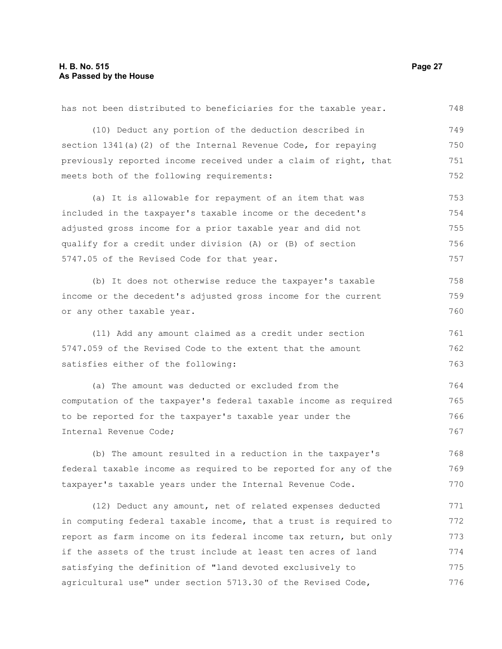| has not been distributed to beneficiaries for the taxable year.  | 748 |
|------------------------------------------------------------------|-----|
| (10) Deduct any portion of the deduction described in            | 749 |
| section 1341(a)(2) of the Internal Revenue Code, for repaying    | 750 |
| previously reported income received under a claim of right, that | 751 |
| meets both of the following requirements:                        | 752 |
| (a) It is allowable for repayment of an item that was            | 753 |
| included in the taxpayer's taxable income or the decedent's      | 754 |
| adjusted gross income for a prior taxable year and did not       | 755 |
| qualify for a credit under division (A) or (B) of section        | 756 |
| 5747.05 of the Revised Code for that year.                       | 757 |
| (b) It does not otherwise reduce the taxpayer's taxable          | 758 |
| income or the decedent's adjusted gross income for the current   | 759 |
| or any other taxable year.                                       | 760 |
| (11) Add any amount claimed as a credit under section            | 761 |
| 5747.059 of the Revised Code to the extent that the amount       | 762 |
| satisfies either of the following:                               | 763 |
| (a) The amount was deducted or excluded from the                 | 764 |
| computation of the taxpayer's federal taxable income as required | 765 |
| to be reported for the taxpayer's taxable year under the         | 766 |
| Internal Revenue Code;                                           | 767 |
| (b) The amount resulted in a reduction in the taxpayer's         | 768 |

federal taxable income as required to be reported for any of the taxpayer's taxable years under the Internal Revenue Code. 769 770

(12) Deduct any amount, net of related expenses deducted in computing federal taxable income, that a trust is required to report as farm income on its federal income tax return, but only if the assets of the trust include at least ten acres of land satisfying the definition of "land devoted exclusively to agricultural use" under section 5713.30 of the Revised Code, 771 772 773 774 775 776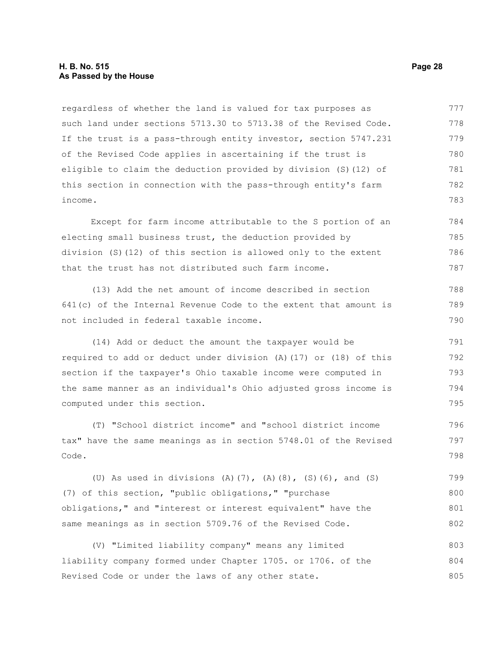## **H. B. No. 515 Page 28 As Passed by the House**

regardless of whether the land is valued for tax purposes as such land under sections 5713.30 to 5713.38 of the Revised Code. If the trust is a pass-through entity investor, section 5747.231 of the Revised Code applies in ascertaining if the trust is eligible to claim the deduction provided by division (S)(12) of this section in connection with the pass-through entity's farm income. 777 778 779 780 781 782 783

Except for farm income attributable to the S portion of an electing small business trust, the deduction provided by division (S)(12) of this section is allowed only to the extent that the trust has not distributed such farm income. 784 785 786 787

(13) Add the net amount of income described in section 641(c) of the Internal Revenue Code to the extent that amount is not included in federal taxable income.

(14) Add or deduct the amount the taxpayer would be required to add or deduct under division (A)(17) or (18) of this section if the taxpayer's Ohio taxable income were computed in the same manner as an individual's Ohio adjusted gross income is computed under this section. 791 792 793 794 795

(T) "School district income" and "school district income tax" have the same meanings as in section 5748.01 of the Revised Code. 796 797 798

(U) As used in divisions (A)(7), (A)(8), (S)(6), and (S) (7) of this section, "public obligations," "purchase obligations," and "interest or interest equivalent" have the same meanings as in section 5709.76 of the Revised Code. 799 800 801 802

(V) "Limited liability company" means any limited liability company formed under Chapter 1705. or 1706. of the Revised Code or under the laws of any other state. 803 804 805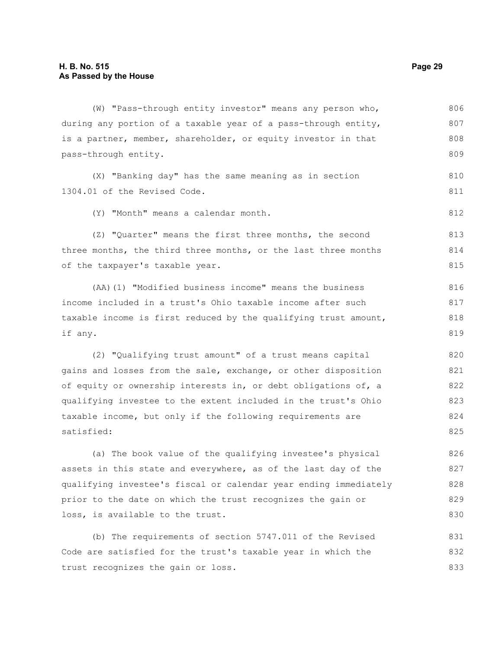| (W) "Pass-through entity investor" means any person who,         | 806 |
|------------------------------------------------------------------|-----|
| during any portion of a taxable year of a pass-through entity,   | 807 |
| is a partner, member, shareholder, or equity investor in that    | 808 |
| pass-through entity.                                             | 809 |
| (X) "Banking day" has the same meaning as in section             | 810 |
| 1304.01 of the Revised Code.                                     | 811 |
|                                                                  |     |
| (Y) "Month" means a calendar month.                              | 812 |
| (Z) "Quarter" means the first three months, the second           | 813 |
| three months, the third three months, or the last three months   | 814 |
| of the taxpayer's taxable year.                                  | 815 |
| (AA) (1) "Modified business income" means the business           | 816 |
| income included in a trust's Ohio taxable income after such      | 817 |
| taxable income is first reduced by the qualifying trust amount,  | 818 |
|                                                                  |     |
| if any.                                                          | 819 |
| (2) "Qualifying trust amount" of a trust means capital           | 820 |
| gains and losses from the sale, exchange, or other disposition   | 821 |
| of equity or ownership interests in, or debt obligations of, a   | 822 |
| qualifying investee to the extent included in the trust's Ohio   | 823 |
| taxable income, but only if the following requirements are       | 824 |
| satisfied:                                                       | 825 |
| (a) The book value of the qualifying investee's physical         | 826 |
| assets in this state and everywhere, as of the last day of the   | 827 |
| qualifying investee's fiscal or calendar year ending immediately | 828 |
| prior to the date on which the trust recognizes the gain or      | 829 |
| loss, is available to the trust.                                 | 830 |
|                                                                  |     |
|                                                                  |     |

(b) The requirements of section 5747.011 of the Revised Code are satisfied for the trust's taxable year in which the trust recognizes the gain or loss. 831 832 833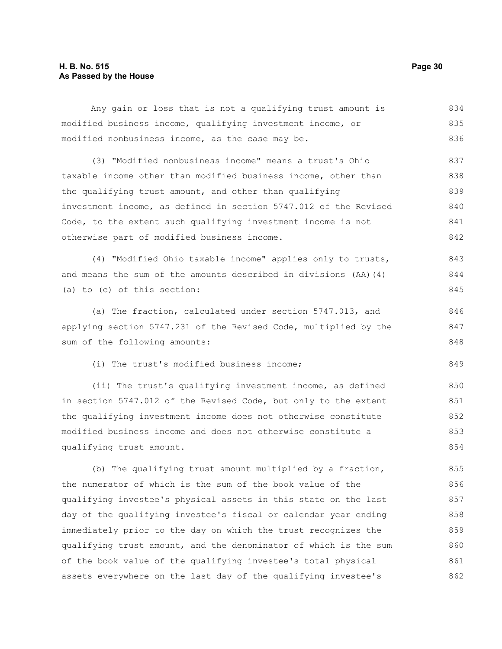## **H. B. No. 515 Page 30 As Passed by the House**

| Any gain or loss that is not a qualifying trust amount is        | 834 |
|------------------------------------------------------------------|-----|
| modified business income, qualifying investment income, or       | 835 |
| modified nonbusiness income, as the case may be.                 | 836 |
| (3) "Modified nonbusiness income" means a trust's Ohio           | 837 |
| taxable income other than modified business income, other than   | 838 |
| the qualifying trust amount, and other than qualifying           | 839 |
| investment income, as defined in section 5747.012 of the Revised | 840 |
| Code, to the extent such qualifying investment income is not     | 841 |
| otherwise part of modified business income.                      | 842 |
| (4) "Modified Ohio taxable income" applies only to trusts,       | 843 |
| and means the sum of the amounts described in divisions (AA) (4) | 844 |
| (a) to (c) of this section:                                      | 845 |
| (a) The fraction, calculated under section 5747.013, and         | 846 |
| applying section 5747.231 of the Revised Code, multiplied by the | 847 |
| sum of the following amounts:                                    | 848 |
| (i) The trust's modified business income;                        | 849 |
| (ii) The trust's qualifying investment income, as defined        | 850 |
| in section 5747.012 of the Revised Code, but only to the extent  | 851 |
| the qualifying investment income does not otherwise constitute   | 852 |
| modified business income and does not otherwise constitute a     | 853 |
| qualifying trust amount.                                         | 854 |
| (b) The qualifying trust amount multiplied by a fraction,        | 855 |
| the numerator of which is the sum of the book value of the       | 856 |
| qualifying investee's physical assets in this state on the last  | 857 |
| day of the qualifying investee's fiscal or calendar year ending  | 858 |
| immediately prior to the day on which the trust recognizes the   | 859 |
| qualifying trust amount, and the denominator of which is the sum | 860 |
| of the book value of the qualifying investee's total physical    | 861 |
| assets everywhere on the last day of the qualifying investee's   | 862 |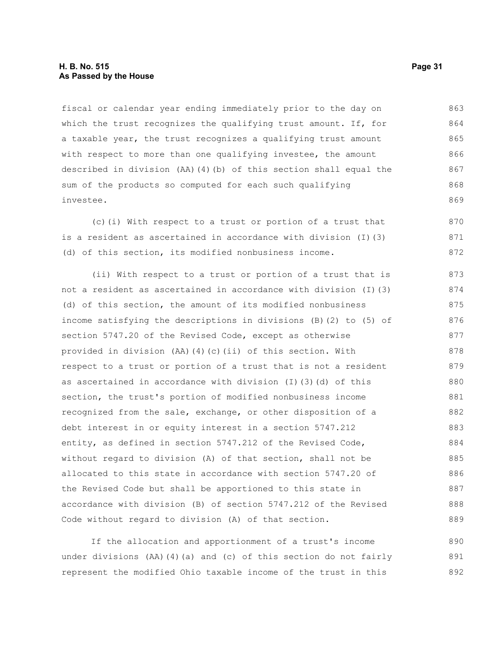## **H. B. No. 515 Page 31 As Passed by the House**

fiscal or calendar year ending immediately prior to the day on which the trust recognizes the qualifying trust amount. If, for a taxable year, the trust recognizes a qualifying trust amount with respect to more than one qualifying investee, the amount described in division (AA)(4)(b) of this section shall equal the sum of the products so computed for each such qualifying investee. 863 864 865 866 867 868 869

(c)(i) With respect to a trust or portion of a trust that is a resident as ascertained in accordance with division (I)(3) (d) of this section, its modified nonbusiness income. 870 871 872

(ii) With respect to a trust or portion of a trust that is not a resident as ascertained in accordance with division (I)(3) (d) of this section, the amount of its modified nonbusiness income satisfying the descriptions in divisions (B)(2) to (5) of section 5747.20 of the Revised Code, except as otherwise provided in division (AA)(4)(c)(ii) of this section. With respect to a trust or portion of a trust that is not a resident as ascertained in accordance with division (I)(3)(d) of this section, the trust's portion of modified nonbusiness income recognized from the sale, exchange, or other disposition of a debt interest in or equity interest in a section 5747.212 entity, as defined in section 5747.212 of the Revised Code, without regard to division (A) of that section, shall not be allocated to this state in accordance with section 5747.20 of the Revised Code but shall be apportioned to this state in accordance with division (B) of section 5747.212 of the Revised Code without regard to division (A) of that section. 873 874 875 876 877 878 879 880 881 882 883 884 885 886 887 888 889

If the allocation and apportionment of a trust's income under divisions (AA)(4)(a) and (c) of this section do not fairly represent the modified Ohio taxable income of the trust in this 890 891 892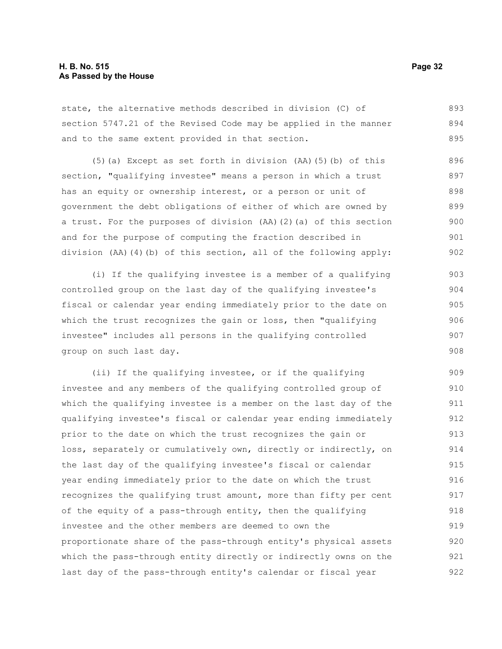state, the alternative methods described in division (C) of section 5747.21 of the Revised Code may be applied in the manner and to the same extent provided in that section. 893 894 895

(5)(a) Except as set forth in division (AA)(5)(b) of this section, "qualifying investee" means a person in which a trust has an equity or ownership interest, or a person or unit of government the debt obligations of either of which are owned by a trust. For the purposes of division (AA)(2)(a) of this section and for the purpose of computing the fraction described in division (AA)(4)(b) of this section, all of the following apply: 896 897 898 899 900 901 902

(i) If the qualifying investee is a member of a qualifying controlled group on the last day of the qualifying investee's fiscal or calendar year ending immediately prior to the date on which the trust recognizes the gain or loss, then "qualifying investee" includes all persons in the qualifying controlled group on such last day. 903 904 905 906 907 908

(ii) If the qualifying investee, or if the qualifying investee and any members of the qualifying controlled group of which the qualifying investee is a member on the last day of the qualifying investee's fiscal or calendar year ending immediately prior to the date on which the trust recognizes the gain or loss, separately or cumulatively own, directly or indirectly, on the last day of the qualifying investee's fiscal or calendar year ending immediately prior to the date on which the trust recognizes the qualifying trust amount, more than fifty per cent of the equity of a pass-through entity, then the qualifying investee and the other members are deemed to own the proportionate share of the pass-through entity's physical assets which the pass-through entity directly or indirectly owns on the last day of the pass-through entity's calendar or fiscal year 909 910 911 912 913 914 915 916 917 918 919 920 921 922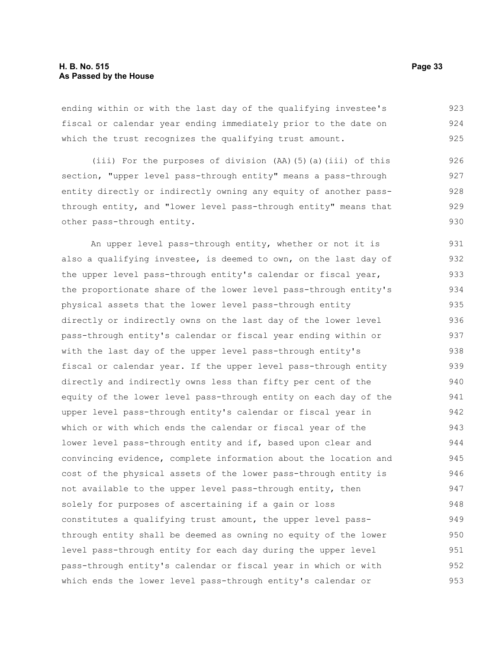ending within or with the last day of the qualifying investee's fiscal or calendar year ending immediately prior to the date on which the trust recognizes the qualifying trust amount. 923 924 925

(iii) For the purposes of division (AA)(5)(a)(iii) of this section, "upper level pass-through entity" means a pass-through entity directly or indirectly owning any equity of another passthrough entity, and "lower level pass-through entity" means that other pass-through entity. 926 927 928 929 930

An upper level pass-through entity, whether or not it is also a qualifying investee, is deemed to own, on the last day of the upper level pass-through entity's calendar or fiscal year, the proportionate share of the lower level pass-through entity's physical assets that the lower level pass-through entity directly or indirectly owns on the last day of the lower level pass-through entity's calendar or fiscal year ending within or with the last day of the upper level pass-through entity's fiscal or calendar year. If the upper level pass-through entity directly and indirectly owns less than fifty per cent of the equity of the lower level pass-through entity on each day of the upper level pass-through entity's calendar or fiscal year in which or with which ends the calendar or fiscal year of the lower level pass-through entity and if, based upon clear and convincing evidence, complete information about the location and cost of the physical assets of the lower pass-through entity is not available to the upper level pass-through entity, then solely for purposes of ascertaining if a gain or loss constitutes a qualifying trust amount, the upper level passthrough entity shall be deemed as owning no equity of the lower level pass-through entity for each day during the upper level pass-through entity's calendar or fiscal year in which or with which ends the lower level pass-through entity's calendar or 931 932 933 934 935 936 937 938 939 940 941 942 943 944 945 946 947 948 949 950 951 952 953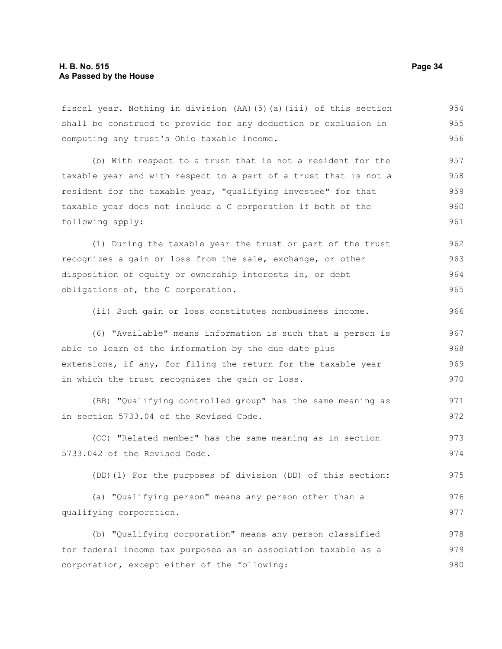fiscal year. Nothing in division (AA)(5)(a)(iii) of this section shall be construed to provide for any deduction or exclusion in computing any trust's Ohio taxable income. 954 955 956

(b) With respect to a trust that is not a resident for the taxable year and with respect to a part of a trust that is not a resident for the taxable year, "qualifying investee" for that taxable year does not include a C corporation if both of the following apply: 957 958 959 960 961

(i) During the taxable year the trust or part of the trust recognizes a gain or loss from the sale, exchange, or other disposition of equity or ownership interests in, or debt obligations of, the C corporation. 962 963 964 965

(ii) Such gain or loss constitutes nonbusiness income. 966

(6) "Available" means information is such that a person is able to learn of the information by the due date plus extensions, if any, for filing the return for the taxable year in which the trust recognizes the gain or loss. 967 968 969 970

(BB) "Qualifying controlled group" has the same meaning as in section 5733.04 of the Revised Code. 971 972

(CC) "Related member" has the same meaning as in section 5733.042 of the Revised Code. 973 974

(DD)(1) For the purposes of division (DD) of this section: 975

(a) "Qualifying person" means any person other than a qualifying corporation. 976 977

(b) "Qualifying corporation" means any person classified for federal income tax purposes as an association taxable as a corporation, except either of the following: 978 979 980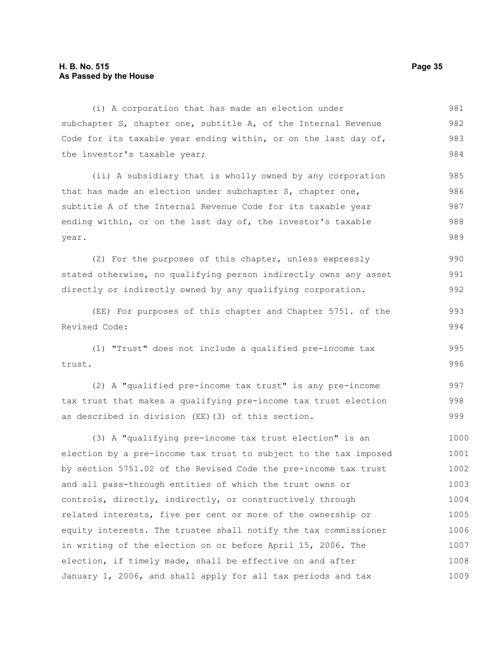## **H. B. No. 515 Page 35 As Passed by the House**

(i) A corporation that has made an election under subchapter S, chapter one, subtitle A, of the Internal Revenue Code for its taxable year ending within, or on the last day of, the investor's taxable year; 981 982 983 984

(ii) A subsidiary that is wholly owned by any corporation that has made an election under subchapter S, chapter one, subtitle A of the Internal Revenue Code for its taxable year ending within, or on the last day of, the investor's taxable year. 985 986 987 988 989

(2) For the purposes of this chapter, unless expressly stated otherwise, no qualifying person indirectly owns any asset directly or indirectly owned by any qualifying corporation. 990 991 992

(EE) For purposes of this chapter and Chapter 5751. of the Revised Code:

(1) "Trust" does not include a qualified pre-income tax trust. 995 996

(2) A "qualified pre-income tax trust" is any pre-income tax trust that makes a qualifying pre-income tax trust election as described in division (EE)(3) of this section. 997 998 999

(3) A "qualifying pre-income tax trust election" is an election by a pre-income tax trust to subject to the tax imposed by section 5751.02 of the Revised Code the pre-income tax trust and all pass-through entities of which the trust owns or controls, directly, indirectly, or constructively through related interests, five per cent or more of the ownership or equity interests. The trustee shall notify the tax commissioner in writing of the election on or before April 15, 2006. The election, if timely made, shall be effective on and after January 1, 2006, and shall apply for all tax periods and tax 1000 1001 1002 1003 1004 1005 1006 1007 1008 1009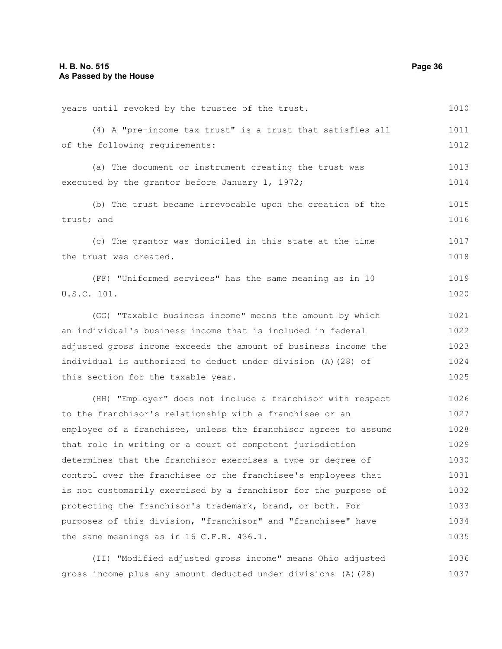| years until revoked by the trustee of the trust.                 | 1010 |
|------------------------------------------------------------------|------|
| (4) A "pre-income tax trust" is a trust that satisfies all       | 1011 |
| of the following requirements:                                   | 1012 |
| (a) The document or instrument creating the trust was            | 1013 |
| executed by the grantor before January 1, 1972;                  | 1014 |
| (b) The trust became irrevocable upon the creation of the        | 1015 |
| trust; and                                                       | 1016 |
| (c) The grantor was domiciled in this state at the time          | 1017 |
| the trust was created.                                           | 1018 |
| (FF) "Uniformed services" has the same meaning as in 10          | 1019 |
| U.S.C. 101.                                                      | 1020 |
| (GG) "Taxable business income" means the amount by which         | 1021 |
| an individual's business income that is included in federal      | 1022 |
| adjusted gross income exceeds the amount of business income the  | 1023 |
| individual is authorized to deduct under division (A) (28) of    | 1024 |
| this section for the taxable year.                               | 1025 |
| (HH) "Employer" does not include a franchisor with respect       | 1026 |
| to the franchisor's relationship with a franchisee or an         | 1027 |
| employee of a franchisee, unless the franchisor agrees to assume | 1028 |
| that role in writing or a court of competent jurisdiction        | 1029 |
| determines that the franchisor exercises a type or degree of     | 1030 |
| control over the franchisee or the franchisee's employees that   | 1031 |
| is not customarily exercised by a franchisor for the purpose of  | 1032 |
| protecting the franchisor's trademark, brand, or both. For       | 1033 |
| purposes of this division, "franchisor" and "franchisee" have    | 1034 |
| the same meanings as in 16 C.F.R. 436.1.                         | 1035 |
| "Modified adjusted gross income" means Ohio adjusted<br>(II)     | 1036 |

gross income plus any amount deducted under divisions (A)(28)